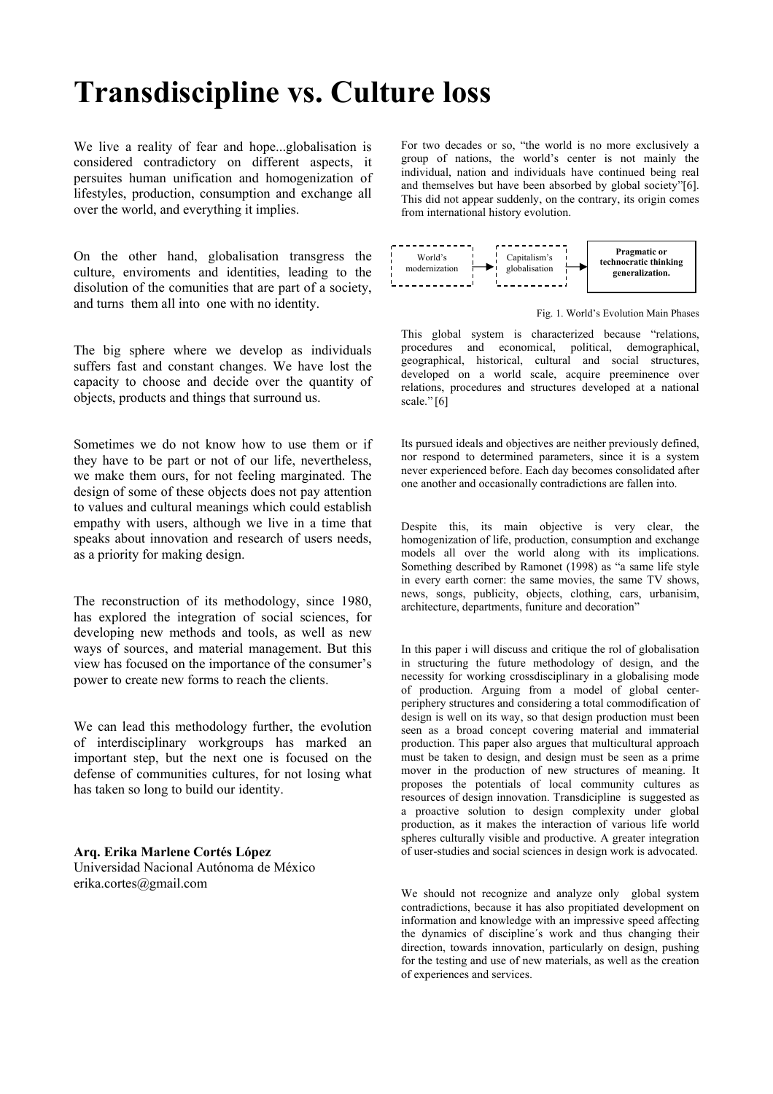## **Transdiscipline vs. Culture loss**

We live a reality of fear and hope...globalisation is considered contradictory on different aspects, it persuites human unification and homogenization of lifestyles, production, consumption and exchange all over the world, and everything it implies.

On the other hand, globalisation transgress the culture, enviroments and identities, leading to the disolution of the comunities that are part of a society, and turns them all into one with no identity.

The big sphere where we develop as individuals suffers fast and constant changes. We have lost the capacity to choose and decide over the quantity of objects, products and things that surround us.

Sometimes we do not know how to use them or if they have to be part or not of our life, nevertheless, we make them ours, for not feeling marginated. The design of some of these objects does not pay attention to values and cultural meanings which could establish empathy with users, although we live in a time that speaks about innovation and research of users needs, as a priority for making design.

The reconstruction of its methodology, since 1980, architecture, departments, funiture and decoration" has explored the integration of social sciences, for developing new methods and tools, as well as new ways of sources, and material management. But this view has focused on the importance of the consumer's power to create new forms to reach the clients.

We can lead this methodology further, the evolution of interdisciplinary workgroups has marked an important step, but the next one is focused on the defense of communities cultures, for not losing what has taken so long to build our identity.

**Arq. Erika Marlene Cortés López** Universidad Nacional Autónoma de México erika.cortes@gmail.com

For two decades or so, "the world is no more exclusively a group of nations, the world's center is not mainly the individual, nation and individuals have continued being real and themselves but have been absorbed by global society"[6]. This did not appear suddenly, on the contrary, its origin comes from international history evolution.



Fig. 1. World's Evolution Main Phases

This global system is characterized because "relations, procedures and economical, political, demographical, geographical, historical, cultural and social structures, developed on a world scale, acquire preeminence over relations, procedures and structures developed at a national scale." [6]

Its pursued ideals and objectives are neither previously defined, nor respond to determined parameters, since it is a system never experienced before. Each day becomes consolidated after one another and occasionally contradictions are fallen into.

Despite this, its main objective is very clear, the homogenization of life, production, consumption and exchange models all over the world along with its implications. Something described by Ramonet (1998) as "a same life style in every earth corner: the same movies, the same TV shows, news, songs, publicity, objects, clothing, cars, urbanisim,

In this paper i will discuss and critique the rol of globalisation in structuring the future methodology of design, and the necessity for working crossdisciplinary in a globalising mode of production. Arguing from a model of global centerperiphery structures and considering a total commodification of design is well on its way, so that design production must been seen as a broad concept covering material and immaterial production. This paper also argues that multicultural approach must be taken to design, and design must be seen as a prime mover in the production of new structures of meaning. It proposes the potentials of local community cultures as resources of design innovation. Transdicipline is suggested as a proactive solution to design complexity under global production, as it makes the interaction of various life world spheres culturally visible and productive. A greater integration of user-studies and social sciences in design work is advocated.

We should not recognize and analyze only global system contradictions, because it has also propitiated development on information and knowledge with an impressive speed affecting the dynamics of discipline´s work and thus changing their direction, towards innovation, particularly on design, pushing for the testing and use of new materials, as well as the creation of experiences and services.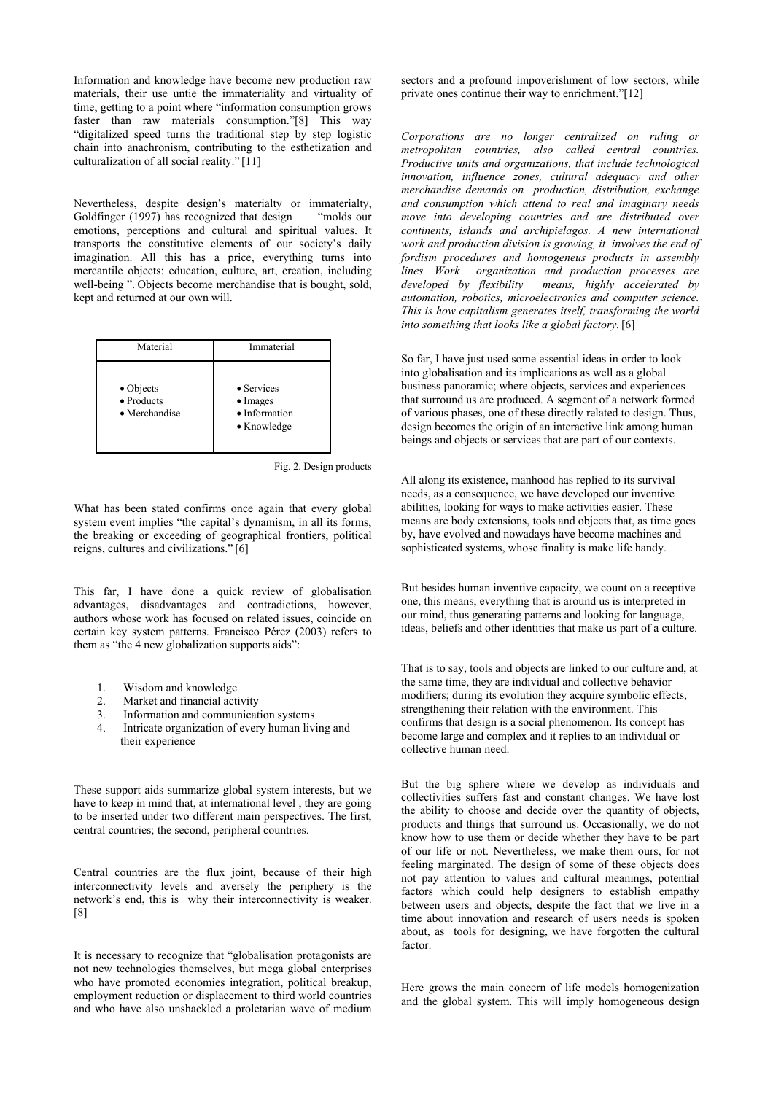Information and knowledge have become new production raw materials, their use untie the immateriality and virtuality of time, getting to a point where "information consumption grows faster than raw materials consumption."[8] This way "digitalized speed turns the traditional step by step logistic chain into anachronism, contributing to the esthetization and culturalization of all social reality." [11]

Nevertheless, despite design's materialty or immaterialty, Goldfinger (1997) has recognized that design "molds our Goldfinger (1997) has recognized that design emotions, perceptions and cultural and spiritual values. It transports the constitutive elements of our society's daily imagination. All this has a price, everything turns into mercantile objects: education, culture, art, creation, including well-being ". Objects become merchandise that is bought, sold, kept and returned at our own will.

| Material                                         | Immaterial                                                                     |
|--------------------------------------------------|--------------------------------------------------------------------------------|
| $\bullet$ Objects<br>• Products<br>• Merchandise | $\bullet$ Services<br>$\bullet$ Images<br>• Information<br>$\bullet$ Knowledge |



What has been stated confirms once again that every global system event implies "the capital's dynamism, in all its forms, the breaking or exceeding of geographical frontiers, political reigns, cultures and civilizations." [6]

This far, I have done a quick review of globalisation advantages, disadvantages and contradictions, however, authors whose work has focused on related issues, coincide on certain key system patterns. Francisco Pérez (2003) refers to them as "the 4 new globalization supports aids":

- 1. Wisdom and knowledge
- 2. Market and financial activity
- 3. Information and communication systems
- 4. Intricate organization of every human living and their experience

These support aids summarize global system interests, but we have to keep in mind that, at international level , they are going to be inserted under two different main perspectives. The first, central countries; the second, peripheral countries.

Central countries are the flux joint, because of their high interconnectivity levels and aversely the periphery is the network's end, this is why their interconnectivity is weaker. [8]

It is necessary to recognize that "globalisation protagonists are not new technologies themselves, but mega global enterprises who have promoted economies integration, political breakup, employment reduction or displacement to third world countries and who have also unshackled a proletarian wave of medium

sectors and a profound impoverishment of low sectors, while private ones continue their way to enrichment."[12]

*Corporations are no longer centralized on ruling or metropolitan countries, also called central countries. Productive units and organizations, that include technological innovation, influence zones, cultural adequacy and other merchandise demands on production, distribution, exchange and consumption which attend to real and imaginary needs move into developing countries and are distributed over continents, islands and archipielagos. A new international work and production division is growing, it involves the end of fordism procedures and homogeneus products in assembly lines. Work organization and production processes are developed by flexibility means, highly accelerated by automation, robotics, microelectronics and computer science. This is how capitalism generates itself, transforming the world into something that looks like a global factory.*[6]

So far, I have just used some essential ideas in order to look into globalisation and its implications as well as a global business panoramic; where objects, services and experiences that surround us are produced. A segment of a network formed of various phases, one of these directly related to design. Thus, design becomes the origin of an interactive link among human beings and objects or services that are part of our contexts.

All along its existence, manhood has replied to its survival needs, as a consequence, we have developed our inventive abilities, looking for ways to make activities easier. These means are body extensions, tools and objects that, as time goes by, have evolved and nowadays have become machines and sophisticated systems, whose finality is make life handy.

But besides human inventive capacity, we count on a receptive one, this means, everything that is around us is interpreted in our mind, thus generating patterns and looking for language, ideas, beliefs and other identities that make us part of a culture.

That is to say, tools and objects are linked to our culture and, at the same time, they are individual and collective behavior modifiers; during its evolution they acquire symbolic effects, strengthening their relation with the environment. This confirms that design is a social phenomenon. Its concept has become large and complex and it replies to an individual or collective human need.

But the big sphere where we develop as individuals and collectivities suffers fast and constant changes. We have lost the ability to choose and decide over the quantity of objects, products and things that surround us. Occasionally, we do not know how to use them or decide whether they have to be part of our life or not. Nevertheless, we make them ours, for not feeling marginated. The design of some of these objects does not pay attention to values and cultural meanings, potential factors which could help designers to establish empathy between users and objects, despite the fact that we live in a time about innovation and research of users needs is spoken about, as tools for designing, we have forgotten the cultural factor.

Here grows the main concern of life models homogenization and the global system. This will imply homogeneous design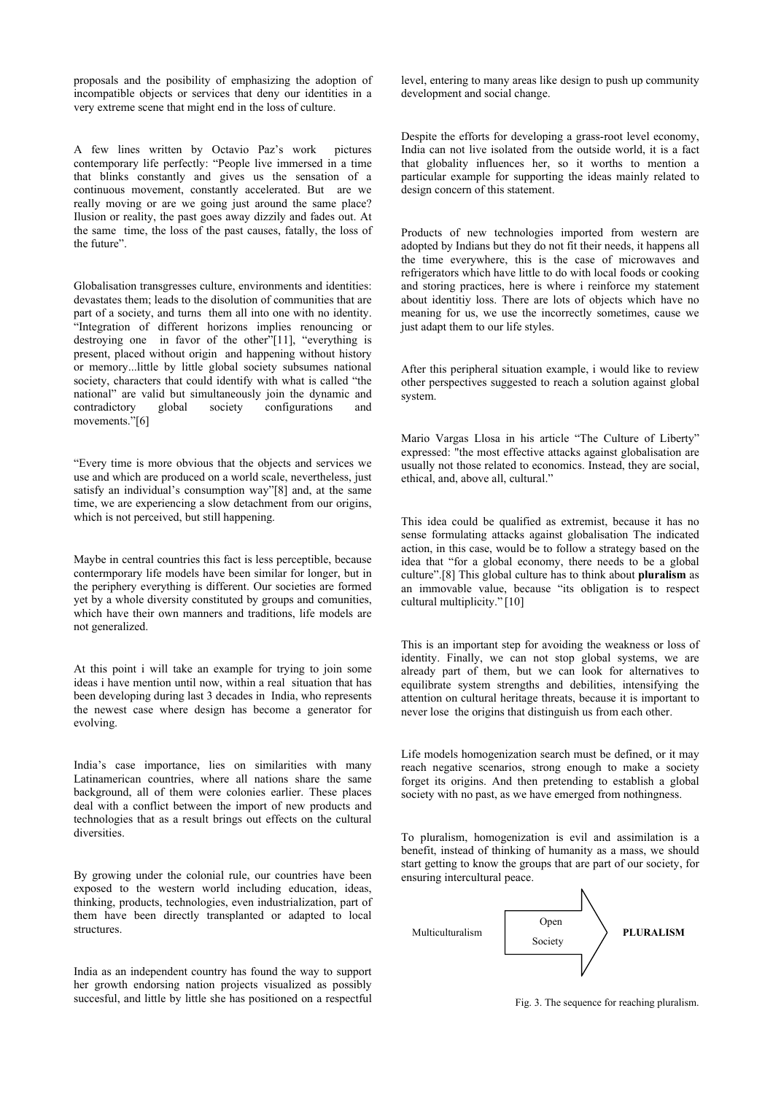proposals and the posibility of emphasizing the adoption of incompatible objects or services that deny our identities in a very extreme scene that might end in the loss of culture.

A few lines written by Octavio Paz's work pictures contemporary life perfectly: "People live immersed in a time that blinks constantly and gives us the sensation of a continuous movement, constantly accelerated. But are we really moving or are we going just around the same place? Ilusion or reality, the past goes away dizzily and fades out. At the same time, the loss of the past causes, fatally, the loss of the future".

Globalisation transgresses culture, environments and identities: devastates them; leads to the disolution of communities that are part of a society, and turns them all into one with no identity. "Integration of different horizons implies renouncing or destroying one in favor of the other"[11], "everything is present, placed without origin and happening without history or memory...little by little global society subsumes national society, characters that could identify with what is called "the national" are valid but simultaneously join the dynamic and contradictory global society configurations and movements."[6]

"Every time is more obvious that the objects and services we use and which are produced on a world scale, nevertheless, just satisfy an individual's consumption way"[8] and, at the same time, we are experiencing a slow detachment from our origins, which is not perceived, but still happening.

Maybe in central countries this fact is less perceptible, because contermporary life models have been similar for longer, but in the periphery everything is different. Our societies are formed yet by a whole diversity constituted by groups and comunities, which have their own manners and traditions, life models are not generalized.

At this point i will take an example for trying to join some ideas i have mention until now, within a real situation that has been developing during last 3 decades in India, who represents the newest case where design has become a generator for evolving.

India's case importance, lies on similarities with many Latinamerican countries, where all nations share the same background, all of them were colonies earlier. These places deal with a conflict between the import of new products and technologies that as a result brings out effects on the cultural diversities.

By growing under the colonial rule, our countries have been exposed to the western world including education, ideas, thinking, products, technologies, even industrialization, part of them have been directly transplanted or adapted to local structures.

India as an independent country has found the way to support her growth endorsing nation projects visualized as possibly succesful, and little by little she has positioned on a respectful

level, entering to many areas like design to push up community development and social change.

Despite the efforts for developing a grass-root level economy, India can not live isolated from the outside world, it is a fact that globality influences her, so it worths to mention a particular example for supporting the ideas mainly related to design concern of this statement.

Products of new technologies imported from western are adopted by Indians but they do not fit their needs, it happens all the time everywhere, this is the case of microwaves and refrigerators which have little to do with local foods or cooking and storing practices, here is where i reinforce my statement about identitiy loss. There are lots of objects which have no meaning for us, we use the incorrectly sometimes, cause we just adapt them to our life styles.

After this peripheral situation example, i would like to review other perspectives suggested to reach a solution against global system.

Mario Vargas Llosa in his article "The Culture of Liberty" expressed: "the most effective attacks against globalisation are usually not those related to economics. Instead, they are social, ethical, and, above all, cultural."

This idea could be qualified as extremist, because it has no sense formulating attacks against globalisation The indicated action, in this case, would be to follow a strategy based on the idea that "for a global economy, there needs to be a global culture".[8] This global culture has to think about **pluralism** as an immovable value, because "its obligation is to respect cultural multiplicity." [10]

This is an important step for avoiding the weakness or loss of identity. Finally, we can not stop global systems, we are already part of them, but we can look for alternatives to equilibrate system strengths and debilities, intensifying the attention on cultural heritage threats, because it is important to never lose the origins that distinguish us from each other.

Life models homogenization search must be defined, or it may reach negative scenarios, strong enough to make a society forget its origins. And then pretending to establish a global society with no past, as we have emerged from nothingness.

To pluralism, homogenization is evil and assimilation is a benefit, instead of thinking of humanity as a mass, we should start getting to know the groups that are part of our society, for ensuring intercultural peace.



Fig. 3. The sequence for reaching pluralism.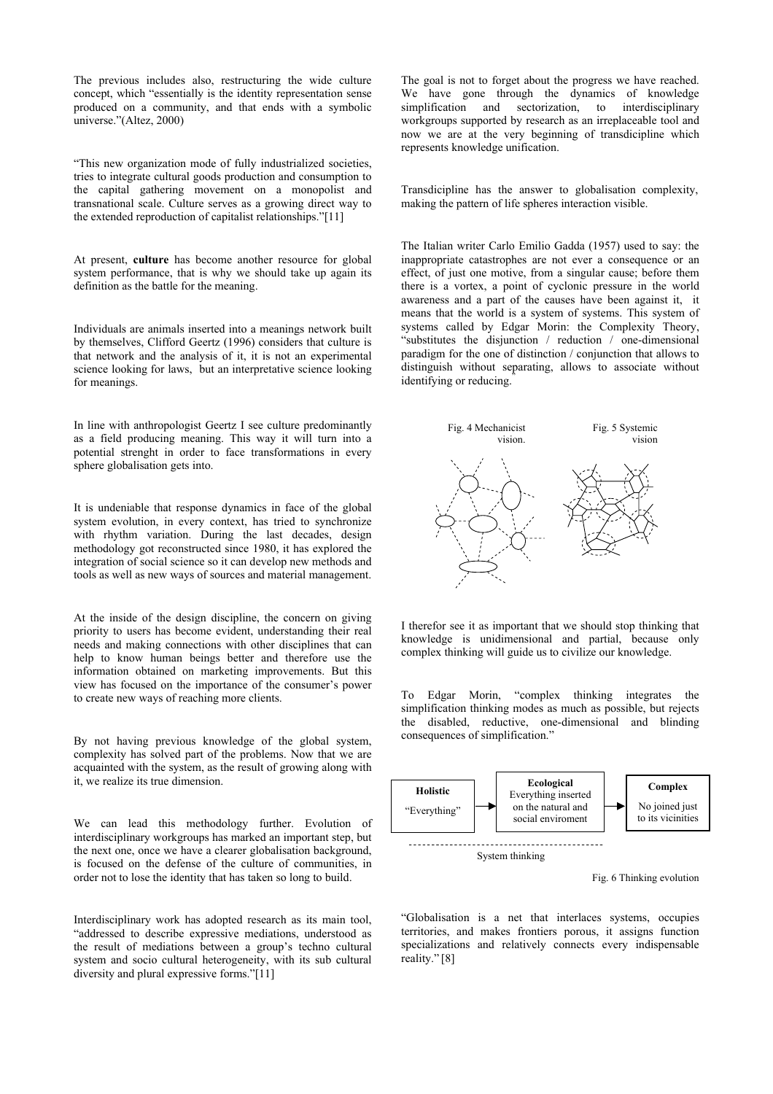The previous includes also, restructuring the wide culture concept, which "essentially is the identity representation sense produced on a community, and that ends with a symbolic universe."(Altez, 2000)

"This new organization mode of fully industrialized societies, tries to integrate cultural goods production and consumption to the capital gathering movement on a monopolist and transnational scale. Culture serves as a growing direct way to the extended reproduction of capitalist relationships."[11]

At present, **culture** has become another resource for global system performance, that is why we should take up again its definition as the battle for the meaning.

Individuals are animals inserted into a meanings network built by themselves, Clifford Geertz (1996) considers that culture is that network and the analysis of it, it is not an experimental science looking for laws, but an interpretative science looking for meanings.

In line with anthropologist Geertz I see culture predominantly as a field producing meaning. This way it will turn into a potential strenght in order to face transformations in every sphere globalisation gets into.

It is undeniable that response dynamics in face of the global system evolution, in every context, has tried to synchronize with rhythm variation. During the last decades, design methodology got reconstructed since 1980, it has explored the integration of social science so it can develop new methods and tools as well as new ways of sources and material management.

At the inside of the design discipline, the concern on giving priority to users has become evident, understanding their real needs and making connections with other disciplines that can help to know human beings better and therefore use the information obtained on marketing improvements. But this view has focused on the importance of the consumer's power to create new ways of reaching more clients.

By not having previous knowledge of the global system. consequences of simplification." complexity has solved part of the problems. Now that we are acquainted with the system, as the result of growing along with it, we realize its true dimension.

We can lead this methodology further. Evolution of interdisciplinary workgroups has marked an important step, but the next one, once we have a clearer globalisation background, is focused on the defense of the culture of communities, in order not to lose the identity that has taken so long to build.

Interdisciplinary work has adopted research as its main tool, "addressed to describe expressive mediations, understood as the result of mediations between a group's techno cultural system and socio cultural heterogeneity, with its sub cultural diversity and plural expressive forms."[11]

The goal is not to forget about the progress we have reached. We have gone through the dynamics of knowledge simplification and sectorization, to interdisciplinary workgroups supported by research as an irreplaceable tool and now we are at the very beginning of transdicipline which represents knowledge unification.

Transdicipline has the answer to globalisation complexity, making the pattern of life spheres interaction visible.

The Italian writer Carlo Emilio Gadda (1957) used to say: the inappropriate catastrophes are not ever a consequence or an effect, of just one motive, from a singular cause; before them there is a vortex, a point of cyclonic pressure in the world awareness and a part of the causes have been against it, it means that the world is a system of systems. This system of systems called by Edgar Morin: the Complexity Theory, "substitutes the disjunction / reduction / one-dimensional paradigm for the one of distinction / conjunction that allows to distinguish without separating, allows to associate without identifying or reducing.



I therefor see it as important that we should stop thinking that knowledge is unidimensional and partial, because only complex thinking will guide us to civilize our knowledge.

To Edgar Morin, "complex thinking integrates the simplification thinking modes as much as possible, but rejects the disabled, reductive, one-dimensional and blinding



"Globalisation is a net that interlaces systems, occupies territories, and makes frontiers porous, it assigns function specializations and relatively connects every indispensable reality." [8]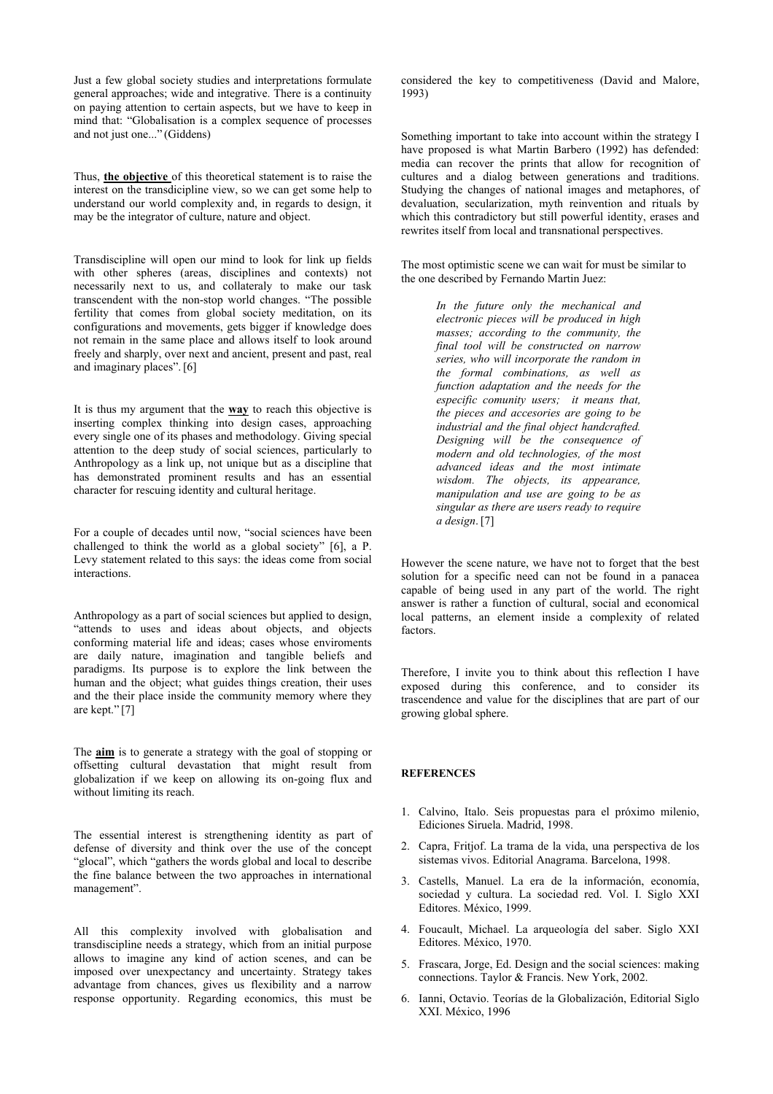Just a few global society studies and interpretations formulate general approaches; wide and integrative. There is a continuity on paying attention to certain aspects, but we have to keep in mind that: "Globalisation is a complex sequence of processes and not just one..." (Giddens)

Thus, **the objective** of this theoretical statement is to raise the interest on the transdicipline view, so we can get some help to understand our world complexity and, in regards to design, it may be the integrator of culture, nature and object.

Transdiscipline will open our mind to look for link up fields with other spheres (areas, disciplines and contexts) not necessarily next to us, and collateraly to make our task transcendent with the non-stop world changes. "The possible fertility that comes from global society meditation, on its configurations and movements, gets bigger if knowledge does not remain in the same place and allows itself to look around freely and sharply, over next and ancient, present and past, real and imaginary places".[6]

It is thus my argument that the **way** to reach this objective is inserting complex thinking into design cases, approaching every single one of its phases and methodology. Giving special attention to the deep study of social sciences, particularly to Anthropology as a link up, not unique but as a discipline that has demonstrated prominent results and has an essential character for rescuing identity and cultural heritage.

For a couple of decades until now, "social sciences have been challenged to think the world as a global society" [6], a P. Levy statement related to this says: the ideas come from social interactions.

Anthropology as a part of social sciences but applied to design, "attends to uses and ideas about objects, and objects conforming material life and ideas; cases whose enviroments are daily nature, imagination and tangible beliefs and paradigms. Its purpose is to explore the link between the human and the object; what guides things creation, their uses and the their place inside the community memory where they are kept." [7]

The **aim** is to generate a strategy with the goal of stopping or offsetting cultural devastation that might result from globalization if we keep on allowing its on-going flux and without limiting its reach.

The essential interest is strengthening identity as part of defense of diversity and think over the use of the concept "glocal", which "gathers the words global and local to describe the fine balance between the two approaches in international management".

All this complexity involved with globalisation and transdiscipline needs a strategy, which from an initial purpose allows to imagine any kind of action scenes, and can be imposed over unexpectancy and uncertainty. Strategy takes advantage from chances, gives us flexibility and a narrow response opportunity. Regarding economics, this must be considered the key to competitiveness (David and Malore, 1993)

Something important to take into account within the strategy I have proposed is what Martin Barbero (1992) has defended: media can recover the prints that allow for recognition of cultures and a dialog between generations and traditions. Studying the changes of national images and metaphores, of devaluation, secularization, myth reinvention and rituals by which this contradictory but still powerful identity, erases and rewrites itself from local and transnational perspectives.

The most optimistic scene we can wait for must be similar to the one described by Fernando Martin Juez:

> *In the future only the mechanical and electronic pieces will be produced in high masses; according to the community, the final tool will be constructed on narrow series, who will incorporate the random in the formal combinations, as well as function adaptation and the needs for the especific comunity users; it means that, the pieces and accesories are going to be industrial and the final object handcrafted. Designing will be the consequence of modern and old technologies, of the most advanced ideas and the most intimate wisdom. The objects, its appearance, manipulation and use are going to be as singular as there are users ready to require a design*. [7]

However the scene nature, we have not to forget that the best solution for a specific need can not be found in a panacea capable of being used in any part of the world. The right answer is rather a function of cultural, social and economical local patterns, an element inside a complexity of related factors.

Therefore, I invite you to think about this reflection I have exposed during this conference, and to consider its trascendence and value for the disciplines that are part of our growing global sphere.

## **REFERENCES**

- 1. Calvino, Italo. Seis propuestas para el próximo milenio, Ediciones Siruela. Madrid, 1998.
- 2. Capra, Fritjof. La trama de la vida, una perspectiva de los sistemas vivos. Editorial Anagrama. Barcelona, 1998.
- 3. Castells, Manuel. La era de la información, economía, sociedad y cultura. La sociedad red. Vol. I. Siglo XXI Editores. México, 1999.
- 4. Foucault, Michael. La arqueología del saber. Siglo XXI Editores. México, 1970.
- 5. Frascara, Jorge, Ed. Design and the social sciences: making connections. Taylor & Francis. New York, 2002.
- 6. Ianni, Octavio. Teorías de la Globalización, Editorial Siglo XXI. México, 1996